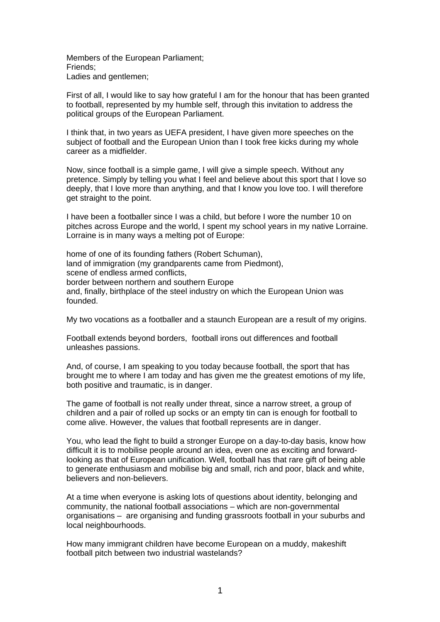Members of the European Parliament; Friends; Ladies and gentlemen;

First of all, I would like to say how grateful I am for the honour that has been granted to football, represented by my humble self, through this invitation to address the political groups of the European Parliament.

I think that, in two years as UEFA president, I have given more speeches on the subject of football and the European Union than I took free kicks during my whole career as a midfielder.

Now, since football is a simple game, I will give a simple speech. Without any pretence. Simply by telling you what I feel and believe about this sport that I love so deeply, that I love more than anything, and that I know you love too. I will therefore get straight to the point.

I have been a footballer since I was a child, but before I wore the number 10 on pitches across Europe and the world, I spent my school years in my native Lorraine. Lorraine is in many ways a melting pot of Europe:

home of one of its founding fathers (Robert Schuman), land of immigration (my grandparents came from Piedmont), scene of endless armed conflicts, border between northern and southern Europe and, finally, birthplace of the steel industry on which the European Union was founded.

My two vocations as a footballer and a staunch European are a result of my origins.

Football extends beyond borders, football irons out differences and football unleashes passions.

And, of course, I am speaking to you today because football, the sport that has brought me to where I am today and has given me the greatest emotions of my life, both positive and traumatic, is in danger.

The game of football is not really under threat, since a narrow street, a group of children and a pair of rolled up socks or an empty tin can is enough for football to come alive. However, the values that football represents are in danger.

You, who lead the fight to build a stronger Europe on a day-to-day basis, know how difficult it is to mobilise people around an idea, even one as exciting and forwardlooking as that of European unification. Well, football has that rare gift of being able to generate enthusiasm and mobilise big and small, rich and poor, black and white, believers and non-believers.

At a time when everyone is asking lots of questions about identity, belonging and community, the national football associations – which are non-governmental organisations – are organising and funding grassroots football in your suburbs and local neighbourhoods.

How many immigrant children have become European on a muddy, makeshift football pitch between two industrial wastelands?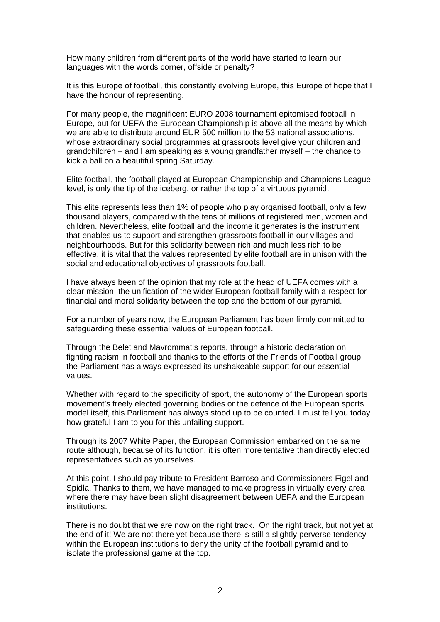How many children from different parts of the world have started to learn our languages with the words corner, offside or penalty?

It is this Europe of football, this constantly evolving Europe, this Europe of hope that I have the honour of representing.

For many people, the magnificent EURO 2008 tournament epitomised football in Europe, but for UEFA the European Championship is above all the means by which we are able to distribute around EUR 500 million to the 53 national associations, whose extraordinary social programmes at grassroots level give your children and grandchildren – and I am speaking as a young grandfather myself – the chance to kick a ball on a beautiful spring Saturday.

Elite football, the football played at European Championship and Champions League level, is only the tip of the iceberg, or rather the top of a virtuous pyramid.

This elite represents less than 1% of people who play organised football, only a few thousand players, compared with the tens of millions of registered men, women and children. Nevertheless, elite football and the income it generates is the instrument that enables us to support and strengthen grassroots football in our villages and neighbourhoods. But for this solidarity between rich and much less rich to be effective, it is vital that the values represented by elite football are in unison with the social and educational objectives of grassroots football.

I have always been of the opinion that my role at the head of UEFA comes with a clear mission: the unification of the wider European football family with a respect for financial and moral solidarity between the top and the bottom of our pyramid.

For a number of years now, the European Parliament has been firmly committed to safeguarding these essential values of European football.

Through the Belet and Mavrommatis reports, through a historic declaration on fighting racism in football and thanks to the efforts of the Friends of Football group, the Parliament has always expressed its unshakeable support for our essential values.

Whether with regard to the specificity of sport, the autonomy of the European sports movement's freely elected governing bodies or the defence of the European sports model itself, this Parliament has always stood up to be counted. I must tell you today how grateful I am to you for this unfailing support.

Through its 2007 White Paper, the European Commission embarked on the same route although, because of its function, it is often more tentative than directly elected representatives such as yourselves.

At this point, I should pay tribute to President Barroso and Commissioners Figel and Spidla. Thanks to them, we have managed to make progress in virtually every area where there may have been slight disagreement between UEFA and the European institutions.

There is no doubt that we are now on the right track. On the right track, but not yet at the end of it! We are not there yet because there is still a slightly perverse tendency within the European institutions to deny the unity of the football pyramid and to isolate the professional game at the top.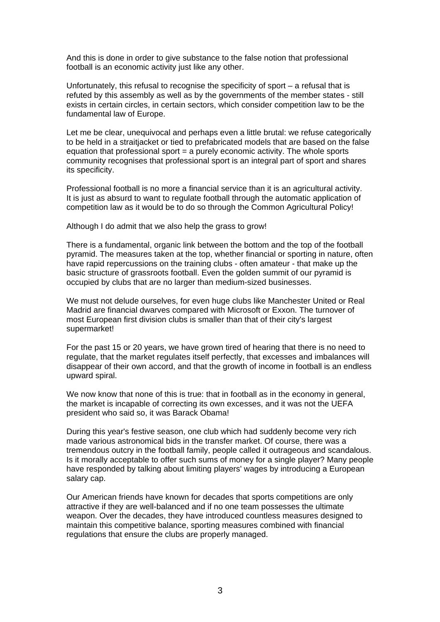And this is done in order to give substance to the false notion that professional football is an economic activity just like any other.

Unfortunately, this refusal to recognise the specificity of sport  $-$  a refusal that is refuted by this assembly as well as by the governments of the member states - still exists in certain circles, in certain sectors, which consider competition law to be the fundamental law of Europe.

Let me be clear, unequivocal and perhaps even a little brutal: we refuse categorically to be held in a straitjacket or tied to prefabricated models that are based on the false equation that professional sport  $=$  a purely economic activity. The whole sports community recognises that professional sport is an integral part of sport and shares its specificity.

Professional football is no more a financial service than it is an agricultural activity. It is just as absurd to want to regulate football through the automatic application of competition law as it would be to do so through the Common Agricultural Policy!

Although I do admit that we also help the grass to grow!

There is a fundamental, organic link between the bottom and the top of the football pyramid. The measures taken at the top, whether financial or sporting in nature, often have rapid repercussions on the training clubs - often amateur - that make up the basic structure of grassroots football. Even the golden summit of our pyramid is occupied by clubs that are no larger than medium-sized businesses.

We must not delude ourselves, for even huge clubs like Manchester United or Real Madrid are financial dwarves compared with Microsoft or Exxon. The turnover of most European first division clubs is smaller than that of their city's largest supermarket!

For the past 15 or 20 years, we have grown tired of hearing that there is no need to regulate, that the market regulates itself perfectly, that excesses and imbalances will disappear of their own accord, and that the growth of income in football is an endless upward spiral.

We now know that none of this is true: that in football as in the economy in general, the market is incapable of correcting its own excesses, and it was not the UEFA president who said so, it was Barack Obama!

During this year's festive season, one club which had suddenly become very rich made various astronomical bids in the transfer market. Of course, there was a tremendous outcry in the football family, people called it outrageous and scandalous. Is it morally acceptable to offer such sums of money for a single player? Many people have responded by talking about limiting players' wages by introducing a European salary cap.

Our American friends have known for decades that sports competitions are only attractive if they are well-balanced and if no one team possesses the ultimate weapon. Over the decades, they have introduced countless measures designed to maintain this competitive balance, sporting measures combined with financial regulations that ensure the clubs are properly managed.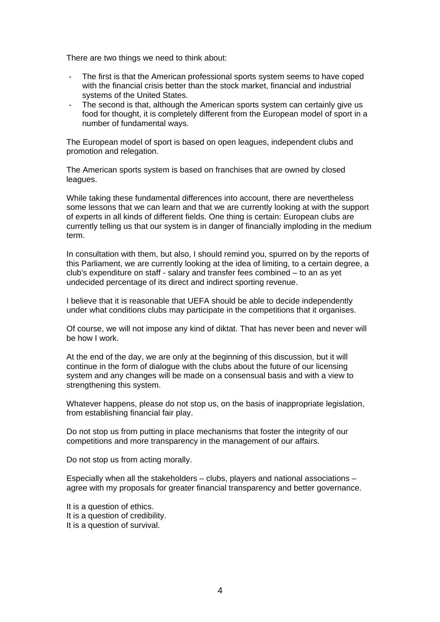There are two things we need to think about:

- The first is that the American professional sports system seems to have coped with the financial crisis better than the stock market, financial and industrial systems of the United States.
- The second is that, although the American sports system can certainly give us food for thought, it is completely different from the European model of sport in a number of fundamental ways.

The European model of sport is based on open leagues, independent clubs and promotion and relegation.

The American sports system is based on franchises that are owned by closed leagues.

While taking these fundamental differences into account, there are nevertheless some lessons that we can learn and that we are currently looking at with the support of experts in all kinds of different fields. One thing is certain: European clubs are currently telling us that our system is in danger of financially imploding in the medium term.

In consultation with them, but also, I should remind you, spurred on by the reports of this Parliament, we are currently looking at the idea of limiting, to a certain degree, a club's expenditure on staff - salary and transfer fees combined – to an as yet undecided percentage of its direct and indirect sporting revenue.

I believe that it is reasonable that UEFA should be able to decide independently under what conditions clubs may participate in the competitions that it organises.

Of course, we will not impose any kind of diktat. That has never been and never will be how I work.

At the end of the day, we are only at the beginning of this discussion, but it will continue in the form of dialogue with the clubs about the future of our licensing system and any changes will be made on a consensual basis and with a view to strengthening this system.

Whatever happens, please do not stop us, on the basis of inappropriate legislation, from establishing financial fair play.

Do not stop us from putting in place mechanisms that foster the integrity of our competitions and more transparency in the management of our affairs.

Do not stop us from acting morally.

Especially when all the stakeholders – clubs, players and national associations – agree with my proposals for greater financial transparency and better governance.

It is a question of ethics. It is a question of credibility. It is a question of survival.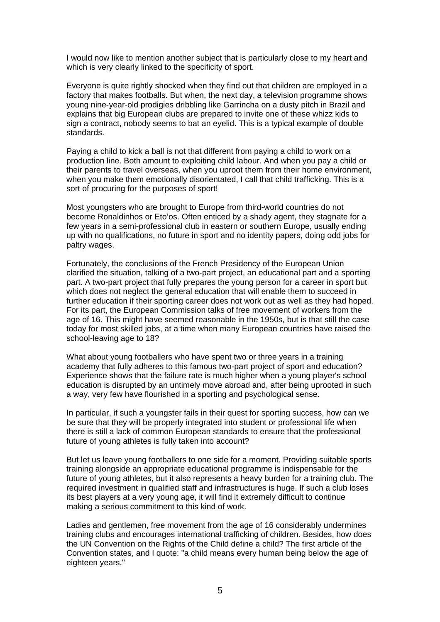I would now like to mention another subject that is particularly close to my heart and which is very clearly linked to the specificity of sport.

Everyone is quite rightly shocked when they find out that children are employed in a factory that makes footballs. But when, the next day, a television programme shows young nine-year-old prodigies dribbling like Garrincha on a dusty pitch in Brazil and explains that big European clubs are prepared to invite one of these whizz kids to sign a contract, nobody seems to bat an eyelid. This is a typical example of double standards.

Paying a child to kick a ball is not that different from paying a child to work on a production line. Both amount to exploiting child labour. And when you pay a child or their parents to travel overseas, when you uproot them from their home environment, when you make them emotionally disorientated, I call that child trafficking. This is a sort of procuring for the purposes of sport!

Most youngsters who are brought to Europe from third-world countries do not become Ronaldinhos or Eto'os. Often enticed by a shady agent, they stagnate for a few years in a semi-professional club in eastern or southern Europe, usually ending up with no qualifications, no future in sport and no identity papers, doing odd jobs for paltry wages.

Fortunately, the conclusions of the French Presidency of the European Union clarified the situation, talking of a two-part project, an educational part and a sporting part. A two-part project that fully prepares the young person for a career in sport but which does not neglect the general education that will enable them to succeed in further education if their sporting career does not work out as well as they had hoped. For its part, the European Commission talks of free movement of workers from the age of 16. This might have seemed reasonable in the 1950s, but is that still the case today for most skilled jobs, at a time when many European countries have raised the school-leaving age to 18?

What about young footballers who have spent two or three years in a training academy that fully adheres to this famous two-part project of sport and education? Experience shows that the failure rate is much higher when a young player's school education is disrupted by an untimely move abroad and, after being uprooted in such a way, very few have flourished in a sporting and psychological sense.

In particular, if such a youngster fails in their quest for sporting success, how can we be sure that they will be properly integrated into student or professional life when there is still a lack of common European standards to ensure that the professional future of young athletes is fully taken into account?

But let us leave young footballers to one side for a moment. Providing suitable sports training alongside an appropriate educational programme is indispensable for the future of young athletes, but it also represents a heavy burden for a training club. The required investment in qualified staff and infrastructures is huge. If such a club loses its best players at a very young age, it will find it extremely difficult to continue making a serious commitment to this kind of work.

Ladies and gentlemen, free movement from the age of 16 considerably undermines training clubs and encourages international trafficking of children. Besides, how does the UN Convention on the Rights of the Child define a child? The first article of the Convention states, and I quote: "a child means every human being below the age of eighteen years."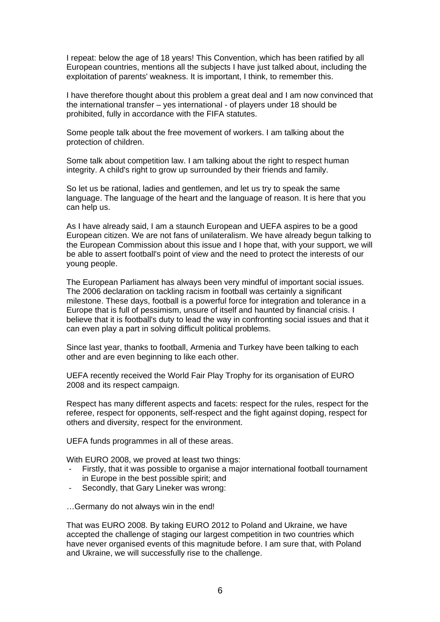I repeat: below the age of 18 years! This Convention, which has been ratified by all European countries, mentions all the subjects I have just talked about, including the exploitation of parents' weakness. It is important, I think, to remember this.

I have therefore thought about this problem a great deal and I am now convinced that the international transfer – yes international - of players under 18 should be prohibited, fully in accordance with the FIFA statutes.

Some people talk about the free movement of workers. I am talking about the protection of children.

Some talk about competition law. I am talking about the right to respect human integrity. A child's right to grow up surrounded by their friends and family.

So let us be rational, ladies and gentlemen, and let us try to speak the same language. The language of the heart and the language of reason. It is here that you can help us.

As I have already said, I am a staunch European and UEFA aspires to be a good European citizen. We are not fans of unilateralism. We have already begun talking to the European Commission about this issue and I hope that, with your support, we will be able to assert football's point of view and the need to protect the interests of our young people.

The European Parliament has always been very mindful of important social issues. The 2006 declaration on tackling racism in football was certainly a significant milestone. These days, football is a powerful force for integration and tolerance in a Europe that is full of pessimism, unsure of itself and haunted by financial crisis. I believe that it is football's duty to lead the way in confronting social issues and that it can even play a part in solving difficult political problems.

Since last year, thanks to football, Armenia and Turkey have been talking to each other and are even beginning to like each other.

UEFA recently received the World Fair Play Trophy for its organisation of EURO 2008 and its respect campaign.

Respect has many different aspects and facets: respect for the rules, respect for the referee, respect for opponents, self-respect and the fight against doping, respect for others and diversity, respect for the environment.

UEFA funds programmes in all of these areas.

With EURO 2008, we proved at least two things:

- Firstly, that it was possible to organise a major international football tournament in Europe in the best possible spirit; and
- Secondly, that Gary Lineker was wrong:

…Germany do not always win in the end!

That was EURO 2008. By taking EURO 2012 to Poland and Ukraine, we have accepted the challenge of staging our largest competition in two countries which have never organised events of this magnitude before. I am sure that, with Poland and Ukraine, we will successfully rise to the challenge.